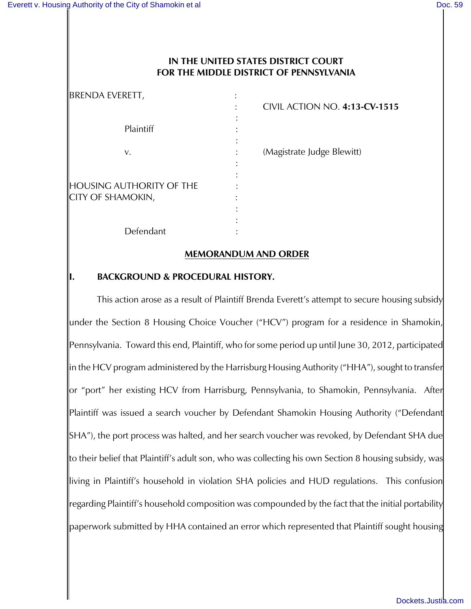### **IN THE UNITED STATES DISTRICT COURT FOR THE MIDDLE DISTRICT OF PENNSYLVANIA**

| <b>BRENDA EVERETT,</b>                                      | CIVIL ACTION NO. 4:13-CV-1515 |
|-------------------------------------------------------------|-------------------------------|
| Plaintiff                                                   |                               |
| v.                                                          | (Magistrate Judge Blewitt)    |
| <b>HOUSING AUTHORITY OF THE</b><br><b>CITY OF SHAMOKIN,</b> |                               |
| Defendant                                                   |                               |

#### **MEMORANDUM AND ORDER**

### **I. BACKGROUND & PROCEDURAL HISTORY.**

This action arose as a result of Plaintiff Brenda Everett's attempt to secure housing subsidy under the Section 8 Housing Choice Voucher ("HCV") program for a residence in Shamokin, Pennsylvania. Toward this end, Plaintiff, who for some period up until June 30, 2012, participated in the HCV program administered by the Harrisburg Housing Authority ("HHA"), sought to transfer or "port" her existing HCV from Harrisburg, Pennsylvania, to Shamokin, Pennsylvania. After Plaintiff was issued a search voucher by Defendant Shamokin Housing Authority ("Defendant SHA"), the port process was halted, and her search voucher was revoked, by Defendant SHA due to their belief that Plaintiff's adult son, who was collecting his own Section 8 housing subsidy, was living in Plaintiff's household in violation SHA policies and HUD regulations. This confusion regarding Plaintiff's household composition was compounded by the fact that the initial portability paperwork submitted by HHA contained an error which represented that Plaintiff sought housing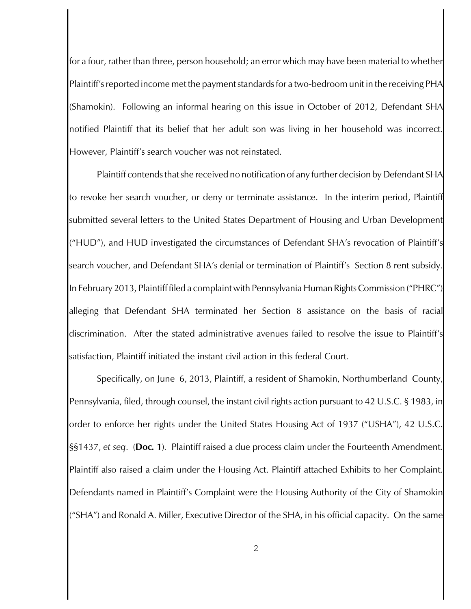for a four, rather than three, person household; an error which may have been material to whether Plaintiff's reported income met the payment standards for a two-bedroom unit in the receiving PHA (Shamokin). Following an informal hearing on this issue in October of 2012, Defendant SHA notified Plaintiff that its belief that her adult son was living in her household was incorrect. However, Plaintiff's search voucher was not reinstated.

Plaintiff contends that she received no notification of any further decision by Defendant SHA to revoke her search voucher, or deny or terminate assistance. In the interim period, Plaintiff submitted several letters to the United States Department of Housing and Urban Development ("HUD"), and HUD investigated the circumstances of Defendant SHA's revocation of Plaintiff's search voucher, and Defendant SHA's denial or termination of Plaintiff's Section 8 rent subsidy. In February 2013, Plaintiff filed a complaint with Pennsylvania Human Rights Commission ("PHRC") alleging that Defendant SHA terminated her Section 8 assistance on the basis of racial discrimination. After the stated administrative avenues failed to resolve the issue to Plaintiff's satisfaction, Plaintiff initiated the instant civil action in this federal Court.

Specifically, on June 6, 2013, Plaintiff, a resident of Shamokin, Northumberland County, Pennsylvania, filed, through counsel, the instant civil rights action pursuant to 42 U.S.C. § 1983, in order to enforce her rights under the United States Housing Act of 1937 ("USHA"), 42 U.S.C. §§1437, *et seq*. (**Doc***.* **1**)*.* Plaintiff raised a due process claim under the Fourteenth Amendment. Plaintiff also raised a claim under the Housing Act. Plaintiff attached Exhibits to her Complaint. Defendants named in Plaintiff's Complaint were the Housing Authority of the City of Shamokin ("SHA") and Ronald A. Miller, Executive Director of the SHA, in his official capacity. On the same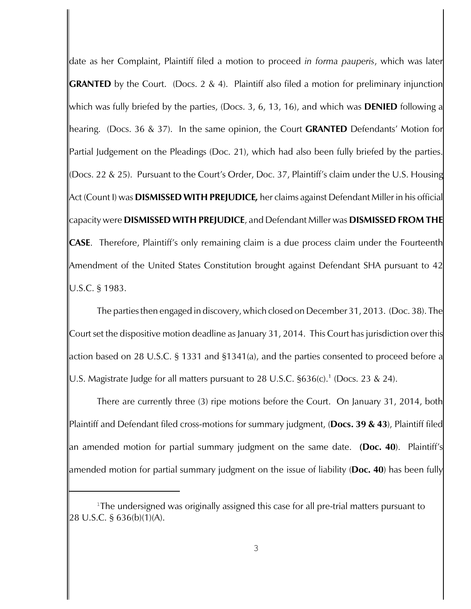date as her Complaint, Plaintiff filed a motion to proceed *in forma pauperis*, which was later **GRANTED** by the Court. (Docs. 2 & 4). Plaintiff also filed a motion for preliminary injunction which was fully briefed by the parties, (Docs. 3, 6, 13, 16), and which was **DENIED** following a hearing. (Docs. 36 & 37). In the same opinion, the Court **GRANTED** Defendants' Motion for Partial Judgement on the Pleadings (Doc. 21), which had also been fully briefed by the parties. (Docs. 22 & 25). Pursuant to the Court's Order, Doc. 37, Plaintiff's claim under the U.S. Housing Act (Count I) was **DISMISSED WITH PREJUDICE***,* her claims against Defendant Miller in his official capacity were **DISMISSED WITH PREJUDICE**, and Defendant Miller was **DISMISSED FROM THE CASE**. Therefore, Plaintiff's only remaining claim is a due process claim under the Fourteenth Amendment of the United States Constitution brought against Defendant SHA pursuant to 42 U.S.C. § 1983.

The parties then engaged in discovery, which closed on December 31, 2013. (Doc. 38). The Court set the dispositive motion deadline as January 31, 2014. This Court has jurisdiction over this action based on 28 U.S.C. § 1331 and §1341(a), and the parties consented to proceed before a U.S. Magistrate Judge for all matters pursuant to 28 U.S.C.  $$636(c)$ .<sup>1</sup> (Docs. 23 & 24).

There are currently three (3) ripe motions before the Court. On January 31, 2014, both Plaintiff and Defendant filed cross-motions for summary judgment, (**Docs. 39 & 43**), Plaintiff filed an amended motion for partial summary judgment on the same date. **(Doc. 40**). Plaintiff's amended motion for partial summary judgment on the issue of liability (**Doc. 40**) has been fully

<sup>&</sup>lt;sup>1</sup>The undersigned was originally assigned this case for all pre-trial matters pursuant to 28 U.S.C. § 636(b)(1)(A).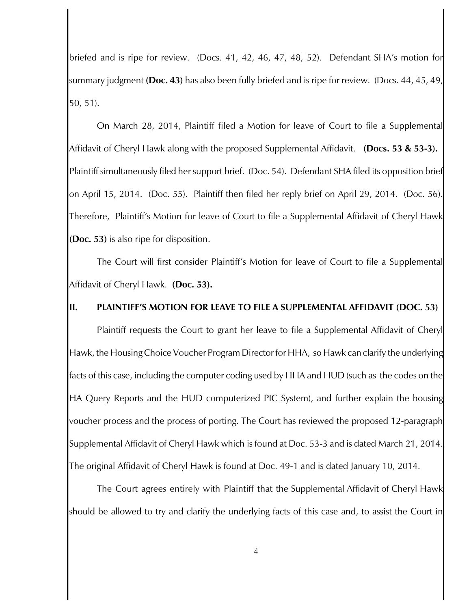briefed and is ripe for review. (Docs. 41, 42, 46, 47, 48, 52). Defendant SHA's motion for summary judgment **(Doc. 43)** has also been fully briefed and is ripe for review. (Docs. 44, 45, 49, 50, 51).

On March 28, 2014, Plaintiff filed a Motion for leave of Court to file a Supplemental Affidavit of Cheryl Hawk along with the proposed Supplemental Affidavit. **(Docs. 53 & 53-3).**  Plaintiff simultaneously filed her support brief. (Doc. 54). Defendant SHA filed its opposition brief on April 15, 2014. (Doc. 55). Plaintiff then filed her reply brief on April 29, 2014. (Doc. 56). Therefore, Plaintiff's Motion for leave of Court to file a Supplemental Affidavit of Cheryl Hawk **(Doc. 53)** is also ripe for disposition.

The Court will first consider Plaintiff's Motion for leave of Court to file a Supplemental Affidavit of Cheryl Hawk. **(Doc. 53).** 

### **II. PLAINTIFF'S MOTION FOR LEAVE TO FILE A SUPPLEMENTAL AFFIDAVIT (DOC. 53)**

Plaintiff requests the Court to grant her leave to file a Supplemental Affidavit of Cheryl Hawk, the Housing Choice Voucher Program Director for HHA, so Hawk can clarify the underlying facts of this case, including the computer coding used by HHA and HUD (such as the codes on the HA Query Reports and the HUD computerized PIC System), and further explain the housing voucher process and the process of porting. The Court has reviewed the proposed 12-paragraph Supplemental Affidavit of Cheryl Hawk which is found at Doc. 53-3 and is dated March 21, 2014. The original Affidavit of Cheryl Hawk is found at Doc. 49-1 and is dated January 10, 2014.

The Court agrees entirely with Plaintiff that the Supplemental Affidavit of Cheryl Hawk should be allowed to try and clarify the underlying facts of this case and, to assist the Court in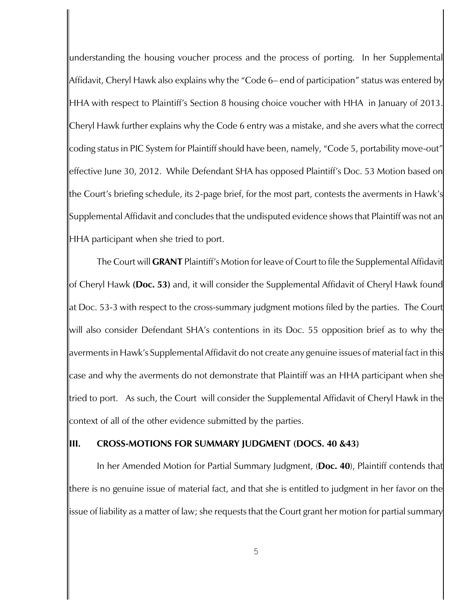understanding the housing voucher process and the process of porting. In her Supplemental Affidavit, Cheryl Hawk also explains why the "Code 6– end of participation" status was entered by HHA with respect to Plaintiff's Section 8 housing choice voucher with HHA in January of 2013. Cheryl Hawk further explains why the Code 6 entry was a mistake, and she avers what the correct coding status in PIC System for Plaintiff should have been, namely, "Code 5, portability move-out" effective June 30, 2012. While Defendant SHA has opposed Plaintiff's Doc. 53 Motion based on the Court's briefing schedule, its 2-page brief, for the most part, contests the averments in Hawk's Supplemental Affidavit and concludes that the undisputed evidence shows that Plaintiff was not an HHA participant when she tried to port.

The Court will **GRANT** Plaintiff's Motion for leave of Court to file the Supplemental Affidavit of Cheryl Hawk **(Doc. 53)** and, it will consider the Supplemental Affidavit of Cheryl Hawk found at Doc. 53-3 with respect to the cross-summary judgment motions filed by the parties. The Court will also consider Defendant SHA's contentions in its Doc. 55 opposition brief as to why the averments in Hawk's Supplemental Affidavit do not create any genuine issues of material fact in this case and why the averments do not demonstrate that Plaintiff was an HHA participant when she tried to port. As such, the Court will consider the Supplemental Affidavit of Cheryl Hawk in the context of all of the other evidence submitted by the parties.

#### **III. CROSS-MOTIONS FOR SUMMARY JUDGMENT (DOCS. 40 &43)**

In her Amended Motion for Partial Summary Judgment, (**Doc. 40**), Plaintiff contends that there is no genuine issue of material fact, and that she is entitled to judgment in her favor on the issue of liability as a matter of law; she requests that the Court grant her motion for partial summary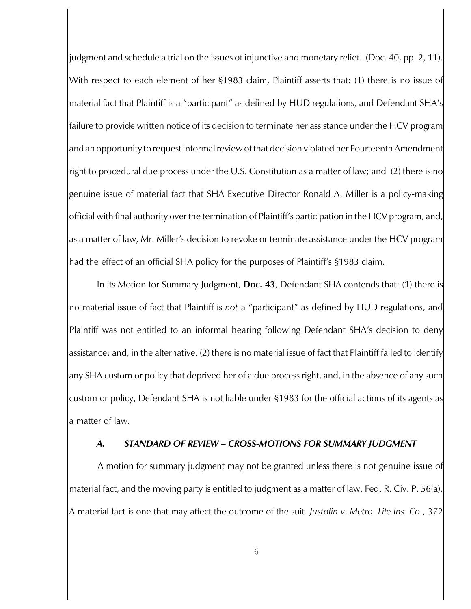judgment and schedule a trial on the issues of injunctive and monetary relief.(Doc. 40, pp. 2, 11). With respect to each element of her §1983 claim, Plaintiff asserts that: (1) there is no issue of material fact that Plaintiff is a "participant" as defined by HUD regulations, and Defendant SHA's failure to provide written notice of its decision to terminate her assistance under the HCV program and an opportunity to request informal review of that decision violated her Fourteenth Amendment right to procedural due process under the U.S. Constitution as a matter of law; and (2) there is no genuine issue of material fact that SHA Executive Director Ronald A. Miller is a policy-making official with final authority over the termination of Plaintiff's participation in the HCV program, and, as a matter of law, Mr. Miller's decision to revoke or terminate assistance under the HCV program had the effect of an official SHA policy for the purposes of Plaintiff's §1983 claim.

In its Motion for Summary Judgment, **Doc. 43**, Defendant SHA contends that: (1) there is no material issue of fact that Plaintiff is *not* a "participant" as defined by HUD regulations, and Plaintiff was not entitled to an informal hearing following Defendant SHA's decision to deny assistance; and, in the alternative, (2) there is no material issue of fact that Plaintiff failed to identify any SHA custom or policy that deprived her of a due process right, and, in the absence of any such custom or policy, Defendant SHA is not liable under §1983 for the official actions of its agents as a matter of law.

#### *A. STANDARD OF REVIEW – CROSS-MOTIONS FOR SUMMARY JUDGMENT*

 A motion for summary judgment may not be granted unless there is not genuine issue of material fact, and the moving party is entitled to judgment as a matter of law. Fed. R. Civ. P. 56(a). A material fact is one that may affect the outcome of the suit. *Justofin v. Metro. Life Ins. Co.*, 372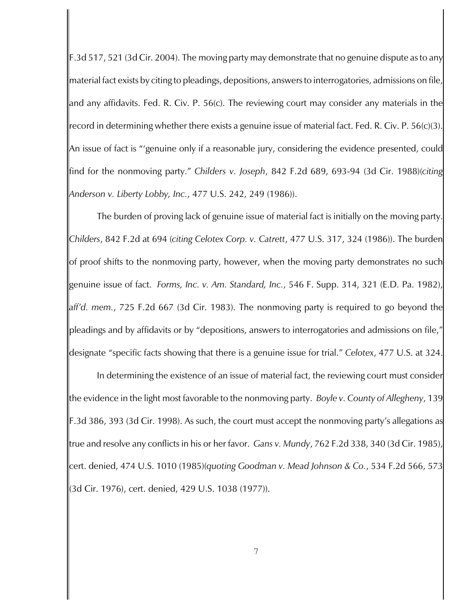F.3d 517, 521 (3d Cir. 2004). The moving party may demonstrate that no genuine dispute as to any material fact exists by citing to pleadings, depositions, answersto interrogatories, admissions on file, and any affidavits. Fed. R. Civ. P. 56(c). The reviewing court may consider any materials in the record in determining whether there exists a genuine issue of material fact. Fed. R. Civ. P. 56(c)(3). An issue of fact is "'genuine only if a reasonable jury, considering the evidence presented, could find for the nonmoving party." *Childers v. Joseph*, 842 F.2d 689, 693-94 (3d Cir. 1988)(*citing Anderson v. Liberty Lobby, Inc.*, 477 U.S. 242, 249 (1986)).

The burden of proving lack of genuine issue of material fact is initially on the moving party. *Childers*, 842 F.2d at 694 (*citing Celotex Corp. v. Catrett*, 477 U.S. 317, 324 (1986)). The burden of proof shifts to the nonmoving party, however, when the moving party demonstrates no such genuine issue of fact. *Forms, Inc. v. Am. Standard, Inc.*, 546 F. Supp. 314, 321 (E.D. Pa. 1982), *aff'd. mem.*, 725 F.2d 667 (3d Cir. 1983). The nonmoving party is required to go beyond the pleadings and by affidavits or by "depositions, answers to interrogatories and admissions on file," designate "specific facts showing that there is a genuine issue for trial." *Celotex*, 477 U.S. at 324.

In determining the existence of an issue of material fact, the reviewing court must consider the evidence in the light most favorable to the nonmoving party. *Boyle v. County of Allegheny*, 139 F.3d 386, 393 (3d Cir. 1998). As such, the court must accept the nonmoving party's allegations as true and resolve any conflicts in his or her favor. *Gans v. Mundy*, 762 F.2d 338, 340 (3d Cir. 1985), cert. denied, 474 U.S. 1010 (1985)(*quoting Goodman v. Mead Johnson & Co.*, 534 F.2d 566, 573 (3d Cir. 1976), cert. denied, 429 U.S. 1038 (1977)).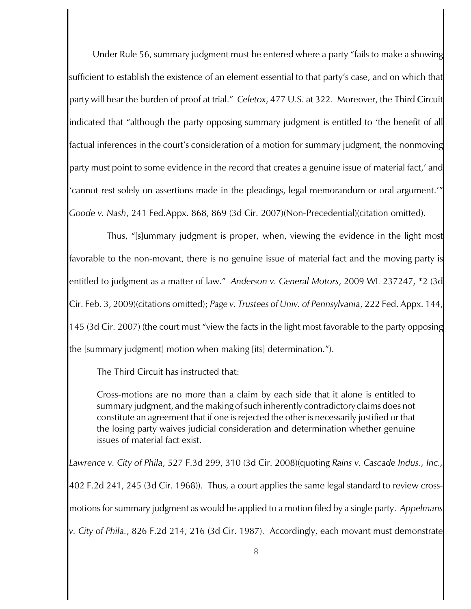Under Rule 56, summary judgment must be entered where a party "fails to make a showing sufficient to establish the existence of an element essential to that party's case, and on which that party will bear the burden of proof at trial." *Celetox*, 477 U.S. at 322.Moreover, the Third Circuit indicated that "although the party opposing summary judgment is entitled to 'the benefit of all factual inferences in the court's consideration of a motion for summary judgment, the nonmoving party must point to some evidence in the record that creates a genuine issue of material fact,' and 'cannot rest solely on assertions made in the pleadings, legal memorandum or oral argument.'" *Goode v. Nash*, 241 Fed.Appx. 868, 869 (3d Cir. 2007)(Non-Precedential)(citation omitted).

Thus, "[s]ummary judgment is proper, when, viewing the evidence in the light most favorable to the non-movant, there is no genuine issue of material fact and the moving party is entitled to judgment as a matter of law." *Anderson v. General Motors*, 2009 WL 237247, \*2 (3d Cir. Feb. 3, 2009)(citations omitted); *Page v. Trustees of Univ. of Pennsylvania*, 222 Fed. Appx. 144, 145 (3d Cir. 2007) (the court must "view the facts in the light most favorable to the party opposing the [summary judgment] motion when making [its] determination.").

The Third Circuit has instructed that:

Cross-motions are no more than a claim by each side that it alone is entitled to summary judgment, and the making of such inherently contradictory claims does not constitute an agreement that if one is rejected the other is necessarily justified or that the losing party waives judicial consideration and determination whether genuine issues of material fact exist.

*Lawrence v. City of Phila*, 527 F.3d 299, 310 (3d Cir. 2008)(quoting *Rains v. Cascade Indus., Inc.,* 402 F.2d 241, 245 (3d Cir. 1968)). Thus, a court applies the same legal standard to review crossmotions for summary judgment as would be applied to a motion filed by a single party. *Appelmans v. City of Phila.*, 826 F.2d 214, 216 (3d Cir. 1987). Accordingly, each movant must demonstrate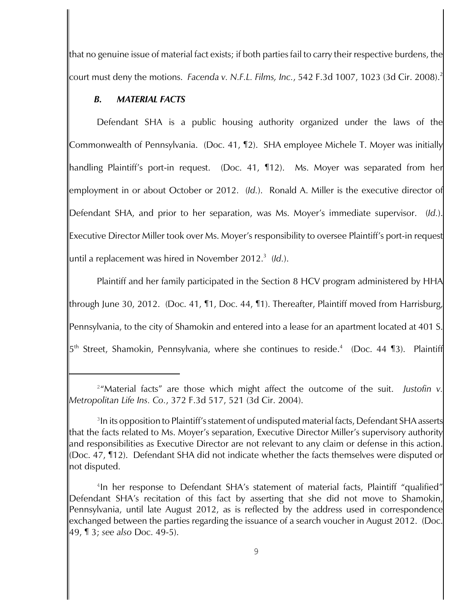that no genuine issue of material fact exists; if both parties fail to carry their respective burdens, the court must deny the motions. *Facenda v. N.F.L. Films, Inc.*, 542 F.3d 1007, 1023 (3d Cir. 2008).<sup>2</sup>

# *B. MATERIAL FACTS*

Defendant SHA is a public housing authority organized under the laws of the Commonwealth of Pennsylvania. (Doc. 41, ¶2). SHA employee Michele T. Moyer was initially handling Plaintiff's port-in request. (Doc. 41, ¶12). Ms. Moyer was separated from her employment in or about October or 2012. (*Id.*). Ronald A. Miller is the executive director of Defendant SHA, and prior to her separation, was Ms. Moyer's immediate supervisor. (*Id.*). Executive Director Miller took over Ms. Moyer's responsibility to oversee Plaintiff's port-in request until a replacement was hired in November 2012.<sup>3</sup> (ld.).

Plaintiff and her family participated in the Section 8 HCV program administered by HHA through June 30, 2012. (Doc. 41, ¶1, Doc. 44, ¶1). Thereafter, Plaintiff moved from Harrisburg, Pennsylvania, to the city of Shamokin and entered into a lease for an apartment located at 401 S.  $5^{\text{th}}$  Street, Shamokin, Pennsylvania, where she continues to reside.<sup>4</sup> (Doc. 44 ¶3). Plaintiff

<sup>&</sup>lt;sup>2</sup>"Material facts" are those which might affect the outcome of the suit. Justofin v. *Metropolitan Life Ins. Co.*, 372 F.3d 517, 521 (3d Cir. 2004).

<sup>&</sup>lt;sup>3</sup> In its opposition to Plaintiff's statement of undisputed material facts, Defendant SHA asserts that the facts related to Ms. Moyer's separation, Executive Director Miller's supervisory authority and responsibilities as Executive Director are not relevant to any claim or defense in this action. (Doc. 47, ¶12). Defendant SHA did not indicate whether the facts themselves were disputed or not disputed.

<sup>&</sup>lt;sup>4</sup>In her response to Defendant SHA's statement of material facts, Plaintiff "qualified" Defendant SHA's recitation of this fact by asserting that she did not move to Shamokin, Pennsylvania, until late August 2012, as is reflected by the address used in correspondence exchanged between the parties regarding the issuance of a search voucher in August 2012. (Doc. 49, ¶ 3; *see also* Doc. 49-5).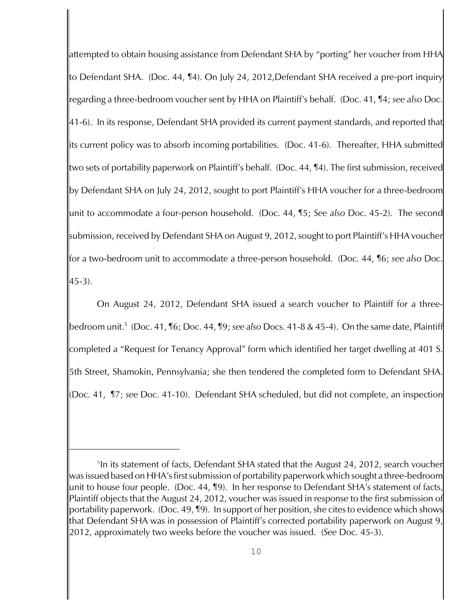attempted to obtain housing assistance from Defendant SHA by "porting" her voucher from HHA to Defendant SHA. (Doc. 44, ¶4). On July 24, 2012,Defendant SHA received a pre-port inquiry regarding a three-bedroom voucher sent by HHA on Plaintiff's behalf. (Doc. 41, ¶4; *see also* Doc. 41-6). In its response, Defendant SHA provided its current payment standards, and reported that its current policy was to absorb incoming portabilities. (Doc. 41-6). Thereafter, HHA submitted two sets of portability paperwork on Plaintiff's behalf. (Doc. 44, ¶4). The first submission, received by Defendant SHA on July 24, 2012, sought to port Plaintiff's HHA voucher for a three-bedroom unit to accommodate a four-person household. (Doc. 44, ¶5; *See also* Doc. 45-2). The second submission, received by Defendant SHA on August 9, 2012, sought to port Plaintiff's HHA voucher for a two-bedroom unit to accommodate a three-person household. (Doc. 44, ¶6; *see also* Doc.  $45-3)$ .

On August 24, 2012, Defendant SHA issued a search voucher to Plaintiff for a threebedroom unit. (Doc. 41, ¶6; Doc. 44, ¶9; *see also* Docs. 41-8 & 45-4). On the same date, Plaintiff <sup>5</sup> completed a "Request for Tenancy Approval" form which identified her target dwelling at 401 S. 5th Street, Shamokin, Pennsylvania; she then tendered the completed form to Defendant SHA. (Doc. 41, ¶7; *see* Doc. 41-10). Defendant SHA scheduled, but did not complete, an inspection

<sup>&</sup>lt;sup>5</sup>In its statement of facts, Defendant SHA stated that the August 24, 2012, search voucher was issued based on HHA's first submission of portability paperwork which sought a three-bedroom unit to house four people. (Doc. 44, ¶9). In her response to Defendant SHA's statement of facts, Plaintiff objects that the August 24, 2012, voucher was issued in response to the first submission of portability paperwork. (Doc. 49, ¶9). In support of her position, she cites to evidence which shows that Defendant SHA was in possession of Plaintiff's corrected portability paperwork on August 9, 2012, approximately two weeks before the voucher was issued. (*See* Doc. 45-3).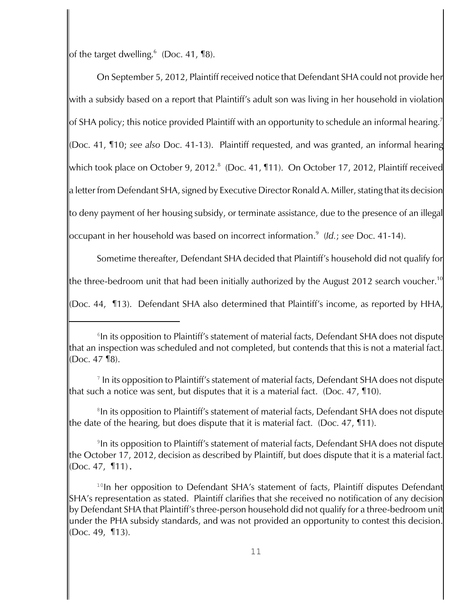of the target dwelling. $^6$  (Doc. 41, ¶8).

On September 5, 2012, Plaintiff received notice that Defendant SHA could not provide her with a subsidy based on a report that Plaintiff's adult son was living in her household in violation of SHA policy; this notice provided Plaintiff with an opportunity to schedule an informal hearing.<sup>7</sup> (Doc. 41, ¶10; *see also* Doc. 41-13). Plaintiff requested, and was granted, an informal hearing which took place on October 9, 2012.<sup>8</sup> (Doc. 41, 111). On October 17, 2012, Plaintiff received a letter from Defendant SHA, signed by Executive Director Ronald A. Miller, stating that its decision to deny payment of her housing subsidy, or terminate assistance, due to the presence of an illegal occupant in her household was based on incorrect information.<sup>9</sup> (ld.; see Doc. 41-14).

Sometime thereafter, Defendant SHA decided that Plaintiff's household did not qualify for the three-bedroom unit that had been initially authorized by the August 2012 search voucher.<sup>10</sup> (Doc. 44, ¶13). Defendant SHA also determined that Plaintiff's income, as reported by HHA,

<sup>&</sup>lt;sup>6</sup>In its opposition to Plaintiff's statement of material facts, Defendant SHA does not dispute that an inspection was scheduled and not completed, but contends that this is not a material fact. (Doc. 47 ¶8).

 $\textsuperscript{7}$  In its opposition to Plaintiff's statement of material facts, Defendant SHA does not dispute that such a notice was sent, but disputes that it is a material fact. (Doc. 47, ¶10).

<sup>&</sup>lt;sup>8</sup>In its opposition to Plaintiff's statement of material facts, Defendant SHA does not dispute the date of the hearing, but does dispute that it is material fact. (Doc. 47, ¶11).

 $^{\circ}$ In its opposition to Plaintiff's statement of material facts, Defendant SHA does not dispute the October 17, 2012, decision as described by Plaintiff, but does dispute that it is a material fact. (Doc. 47, ¶11).

 $10$ In her opposition to Defendant SHA's statement of facts, Plaintiff disputes Defendant SHA's representation as stated. Plaintiff clarifies that she received no notification of any decision by Defendant SHA that Plaintiff's three-person household did not qualify for a three-bedroom unit under the PHA subsidy standards, and was not provided an opportunity to contest this decision. (Doc. 49, ¶13).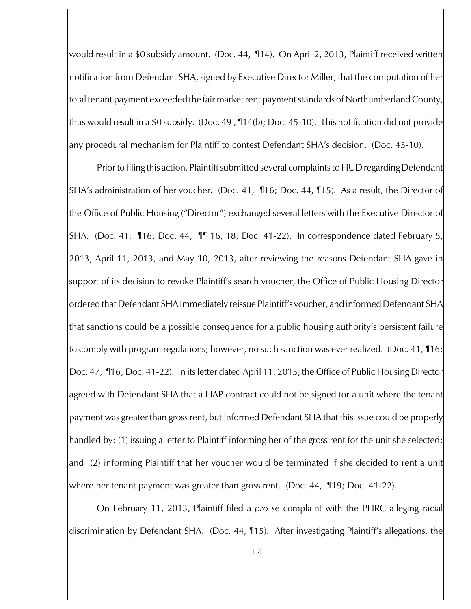would result in a \$0 subsidy amount. (Doc. 44, ¶14). On April 2, 2013, Plaintiff received written notification from Defendant SHA, signed by Executive Director Miller, that the computation of her total tenant payment exceeded the fair market rent payment standards of Northumberland County, thus would result in a \$0 subsidy. (Doc. 49 , ¶14(b); Doc. 45-10). This notification did not provide any procedural mechanism for Plaintiff to contest Defendant SHA's decision. (Doc. 45-10).

Prior to filing this action, Plaintiff submitted several complaints to HUDregarding Defendant SHA's administration of her voucher. (Doc. 41, ¶16; Doc. 44, ¶15). As a result, the Director of the Office of Public Housing ("Director") exchanged several letters with the Executive Director of SHA. (Doc. 41, ¶16; Doc. 44, ¶¶ 16, 18; Doc. 41-22). In correspondence dated February 5, 2013, April 11, 2013, and May 10, 2013, after reviewing the reasons Defendant SHA gave in support of its decision to revoke Plaintiff's search voucher, the Office of Public Housing Director ordered that Defendant SHA immediately reissue Plaintiff's voucher, and informed Defendant SHA that sanctions could be a possible consequence for a public housing authority's persistent failure to comply with program regulations; however, no such sanction was ever realized. (Doc. 41, ¶16; Doc. 47, ¶16; Doc. 41-22). In its letter dated April 11, 2013, the Office of Public Housing Director agreed with Defendant SHA that a HAP contract could not be signed for a unit where the tenant payment was greater than gross rent, but informed Defendant SHA that this issue could be properly handled by: (1) issuing a letter to Plaintiff informing her of the gross rent for the unit she selected; and (2) informing Plaintiff that her voucher would be terminated if she decided to rent a unit where her tenant payment was greater than gross rent. (Doc. 44, ¶19; Doc. 41-22).

On February 11, 2013, Plaintiff filed a *pro se* complaint with the PHRC alleging racial discrimination by Defendant SHA. (Doc. 44, ¶15). After investigating Plaintiff's allegations, the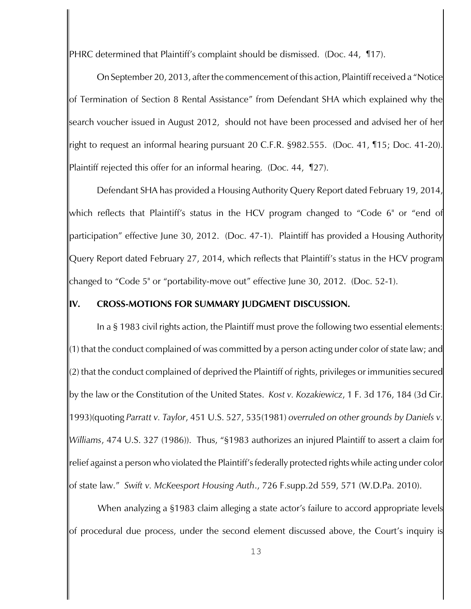PHRC determined that Plaintiff's complaint should be dismissed. (Doc. 44, ¶17).

On September 20, 2013, after the commencement of this action, Plaintiff received a "Notice of Termination of Section 8 Rental Assistance" from Defendant SHA which explained why the search voucher issued in August 2012, should not have been processed and advised her of her right to request an informal hearing pursuant 20 C.F.R. §982.555. (Doc. 41, ¶15; Doc. 41-20). Plaintiff rejected this offer for an informal hearing. (Doc. 44, ¶27).

Defendant SHA has provided a Housing Authority Query Report dated February 19, 2014, which reflects that Plaintiff's status in the HCV program changed to "Code 6" or "end of participation" effective June 30, 2012. (Doc. 47-1). Plaintiff has provided a Housing Authority Query Report dated February 27, 2014, which reflects that Plaintiff's status in the HCV program changed to "Code 5" or "portability-move out" effective June 30, 2012. (Doc. 52-1).

### **IV. CROSS-MOTIONS FOR SUMMARY JUDGMENT DISCUSSION.**

In a § 1983 civil rights action, the Plaintiff must prove the following two essential elements: (1) that the conduct complained of was committed by a person acting under color of state law; and (2) that the conduct complained of deprived the Plaintiff of rights, privileges or immunities secured by the law or the Constitution of the United States. *Kost v. Kozakiewicz*, 1 F. 3d 176, 184 (3d Cir. 1993)(quoting *Parratt v. Taylor*, 451 U.S. 527, 535(1981) *overruled on other grounds by Daniels v. Williams*, 474 U.S. 327 (1986)). Thus, "§1983 authorizes an injured Plaintiff to assert a claim for relief against a person who violated the Plaintiff's federally protected rights while acting under color of state law." *Swift v. McKeesport Housing Auth*., 726 F.supp.2d 559, 571 (W.D.Pa. 2010).

 When analyzing a §1983 claim alleging a state actor's failure to accord appropriate levels of procedural due process, under the second element discussed above, the Court's inquiry is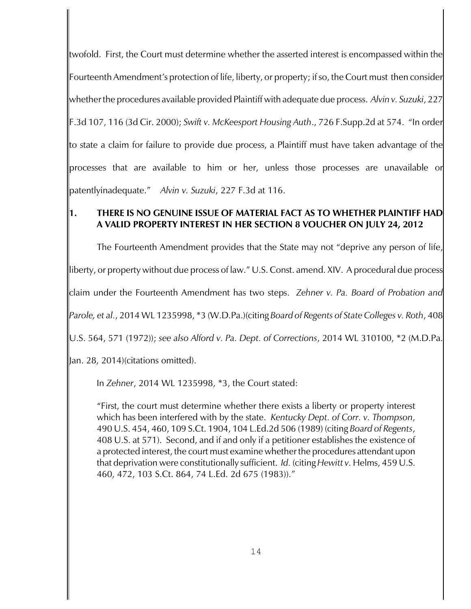twofold. First, the Court must determine whether the asserted interest is encompassed within the Fourteenth Amendment's protection of life, liberty, or property; if so, the Court must then consider whether the procedures available provided Plaintiff with adequate due process. *Alvin v. Suzuki*, 227 F.3d 107, 116 (3d Cir. 2000); *Swift v. McKeesport Housing Auth*., 726 F.Supp.2d at 574. "In order to state a claim for failure to provide due process, a Plaintiff must have taken advantage of the processes that are available to him or her, unless those processes are unavailable or patentlyinadequate." *Alvin v. Suzuki*, 227 F.3d at 116.

# **1. THERE IS NO GENUINE ISSUE OF MATERIAL FACT AS TO WHETHER PLAINTIFF HAD A VALID PROPERTY INTEREST IN HER SECTION 8 VOUCHER ON JULY 24, 2012**

The Fourteenth Amendment provides that the State may not "deprive any person of life, liberty, or property without due process of law." U.S. Const. amend. XIV. A procedural due process claim under the Fourteenth Amendment has two steps. *Zehner v. Pa. Board of Probation and Parole, et al.*, 2014 WL 1235998, \*3 (W.D.Pa.)(citing *Board of Regents of State Colleges v. Roth*, 408 U.S. 564, 571 (1972)); *see also Alford v. Pa. Dept. of Corrections*, 2014 WL 310100, \*2 (M.D.Pa.

Jan. 28, 2014)(citations omitted).

In *Zehner*, 2014 WL 1235998, \*3, the Court stated:

"First, the court must determine whether there exists a liberty or property interest which has been interfered with by the state. *Kentucky Dept. of Corr. v. Thompson*, 490 U.S. 454, 460, 109 S.Ct. 1904, 104 L.Ed.2d 506 (1989) (citing *Board of Regents*, 408 U.S. at 571). Second, and if and only if a petitioner establishes the existence of a protected interest, the court must examine whether the procedures attendant upon that deprivation were constitutionally sufficient. *Id.* (citing *Hewitt v.* Helms, 459 U.S. 460, 472, 103 S.Ct. 864, 74 L.Ed. 2d 675 (1983))."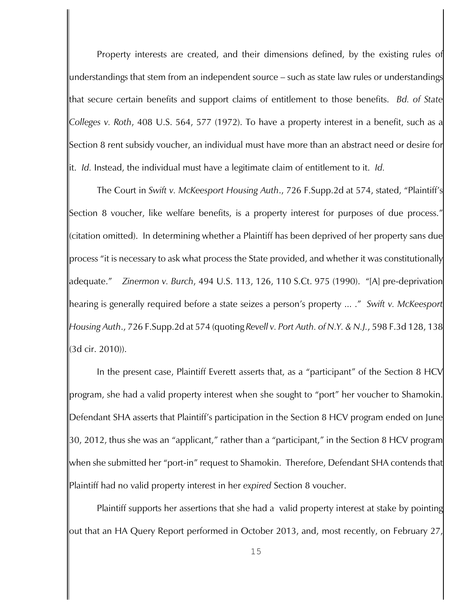Property interests are created, and their dimensions defined, by the existing rules of understandings that stem from an independent source – such as state law rules or understandings that secure certain benefits and support claims of entitlement to those benefits. *Bd. of State Colleges v. Roth*, 408 U.S. 564, 577 (1972). To have a property interest in a benefit, such as a Section 8 rent subsidy voucher, an individual must have more than an abstract need or desire for it. *Id.* Instead, the individual must have a legitimate claim of entitlement to it. *Id.* 

The Court in *Swift v. McKeesport Housing Auth*., 726 F.Supp.2d at 574, stated, "Plaintiff's Section 8 voucher, like welfare benefits, is a property interest for purposes of due process." (citation omitted). In determining whether a Plaintiff has been deprived of her property sans due process "it is necessary to ask what process the State provided, and whether it was constitutionally adequate." *Zinermon v. Burch*, 494 U.S. 113, 126, 110 S.Ct. 975 (1990). "[A] pre-deprivation hearing is generally required before a state seizes a person's property ... ." *Swift v. McKeesport Housing Auth*., 726 F.Supp.2d at 574 (quoting *Revell v. Port Auth. of N.Y. & N.J.*, 598 F.3d 128, 138 (3d cir. 2010)).

In the present case, Plaintiff Everett asserts that, as a "participant" of the Section 8 HCV program, she had a valid property interest when she sought to "port" her voucher to Shamokin. Defendant SHA asserts that Plaintiff's participation in the Section 8 HCV program ended on June 30, 2012, thus she was an "applicant," rather than a "participant," in the Section 8 HCV program when she submitted her "port-in" request to Shamokin. Therefore, Defendant SHA contends that Plaintiff had no valid property interest in her *expired* Section 8 voucher.

Plaintiff supports her assertions that she had a valid property interest at stake by pointing out that an HA Query Report performed in October 2013, and, most recently, on February 27,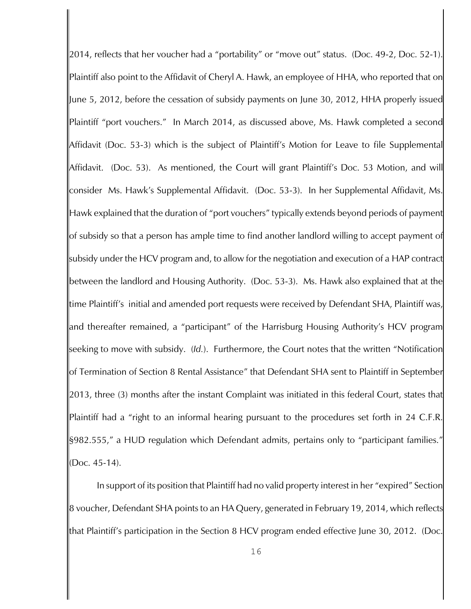2014, reflects that her voucher had a "portability" or "move out" status. (Doc. 49-2, Doc. 52-1). Plaintiff also point to the Affidavit of Cheryl A. Hawk, an employee of HHA, who reported that on June 5, 2012, before the cessation of subsidy payments on June 30, 2012, HHA properly issued Plaintiff "port vouchers." In March 2014, as discussed above, Ms. Hawk completed a second Affidavit (Doc. 53-3) which is the subject of Plaintiff's Motion for Leave to file Supplemental Affidavit. (Doc. 53). As mentioned, the Court will grant Plaintiff's Doc. 53 Motion, and will consider Ms. Hawk's Supplemental Affidavit. (Doc. 53-3). In her Supplemental Affidavit, Ms. Hawk explained that the duration of "port vouchers" typically extends beyond periods of payment of subsidy so that a person has ample time to find another landlord willing to accept payment of subsidy under the HCV program and, to allow for the negotiation and execution of a HAP contract between the landlord and Housing Authority. (Doc. 53-3). Ms. Hawk also explained that at the time Plaintiff's initial and amended port requests were received by Defendant SHA, Plaintiff was, and thereafter remained, a "participant" of the Harrisburg Housing Authority's HCV program seeking to move with subsidy. (*Id.*). Furthermore, the Court notes that the written "Notification of Termination of Section 8 Rental Assistance" that Defendant SHA sent to Plaintiff in September 2013, three (3) months after the instant Complaint was initiated in this federal Court, states that Plaintiff had a "right to an informal hearing pursuant to the procedures set forth in 24 C.F.R. §982.555," a HUD regulation which Defendant admits, pertains only to "participant families." (Doc. 45-14).

In support of its position that Plaintiff had no valid property interest in her "expired" Section 8 voucher, Defendant SHA points to an HA Query, generated in February 19, 2014, which reflects that Plaintiff's participation in the Section 8 HCV program ended effective June 30, 2012. (Doc.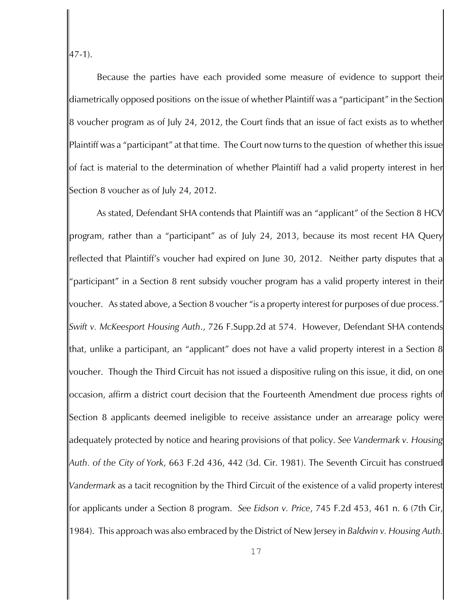47-1).

Because the parties have each provided some measure of evidence to support their diametrically opposed positions on the issue of whether Plaintiff was a "participant" in the Section 8 voucher program as of July 24, 2012, the Court finds that an issue of fact exists as to whether Plaintiff was a "participant" at that time. The Court now turns to the question of whether this issue of fact is material to the determination of whether Plaintiff had a valid property interest in her Section 8 voucher as of July 24, 2012.

As stated, Defendant SHA contends that Plaintiff was an "applicant" of the Section 8 HCV program, rather than a "participant" as of July 24, 2013, because its most recent HA Query reflected that Plaintiff's voucher had expired on June 30, 2012. Neither party disputes that a "participant" in a Section 8 rent subsidy voucher program has a valid property interest in their voucher. As stated above, a Section 8 voucher "is a property interest for purposes of due process." *Swift v. McKeesport Housing Auth*., 726 F.Supp.2d at 574. However, Defendant SHA contends that, unlike a participant, an "applicant" does not have a valid property interest in a Section 8 voucher. Though the Third Circuit has not issued a dispositive ruling on this issue, it did, on one occasion, affirm a district court decision that the Fourteenth Amendment due process rights of Section 8 applicants deemed ineligible to receive assistance under an arrearage policy were adequately protected by notice and hearing provisions of that policy. *See Vandermark v. Housing Auth. of the City of York*, 663 F.2d 436, 442 (3d. Cir. 1981). The Seventh Circuit has construed *Vandermark* as a tacit recognition by the Third Circuit of the existence of a valid property interest for applicants under a Section 8 program. *See Eidson v. Price*, 745 F.2d 453, 461 n. 6 (7th Cir, 1984). This approach was also embraced by the District of New Jersey in *Baldwin v. Housing Auth.*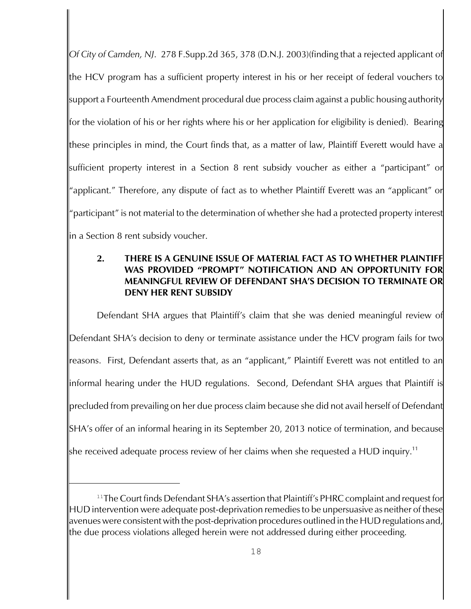*Of City of Camden, NJ*. 278 F.Supp.2d 365, 378 (D.N.J. 2003)(finding that a rejected applicant of the HCV program has a sufficient property interest in his or her receipt of federal vouchers to support a Fourteenth Amendment procedural due process claim against a public housing authority for the violation of his or her rights where his or her application for eligibility is denied). Bearing these principles in mind, the Court finds that, as a matter of law, Plaintiff Everett would have a sufficient property interest in a Section 8 rent subsidy voucher as either a "participant" or "applicant." Therefore, any dispute of fact as to whether Plaintiff Everett was an "applicant" or "participant" is not material to the determination of whether she had a protected property interest in a Section 8 rent subsidy voucher.

# **2. THERE IS A GENUINE ISSUE OF MATERIAL FACT AS TO WHETHER PLAINTIFF WAS PROVIDED "PROMPT" NOTIFICATION AND AN OPPORTUNITY FOR MEANINGFUL REVIEW OF DEFENDANT SHA'S DECISION TO TERMINATE OR DENY HER RENT SUBSIDY**

Defendant SHA argues that Plaintiff's claim that she was denied meaningful review of Defendant SHA's decision to deny or terminate assistance under the HCV program fails for two reasons. First, Defendant asserts that, as an "applicant," Plaintiff Everett was not entitled to an informal hearing under the HUD regulations. Second, Defendant SHA argues that Plaintiff is precluded from prevailing on her due process claim because she did not avail herself of Defendant SHA's offer of an informal hearing in its September 20, 2013 notice of termination, and because she received adequate process review of her claims when she requested a HUD inquiry.<sup>11</sup>

 $11$ The Court finds Defendant SHA's assertion that Plaintiff's PHRC complaint and request for HUD intervention were adequate post-deprivation remedies to be unpersuasive as neither of these avenues were consistent with the post-deprivation procedures outlined in the HUD regulations and, the due process violations alleged herein were not addressed during either proceeding.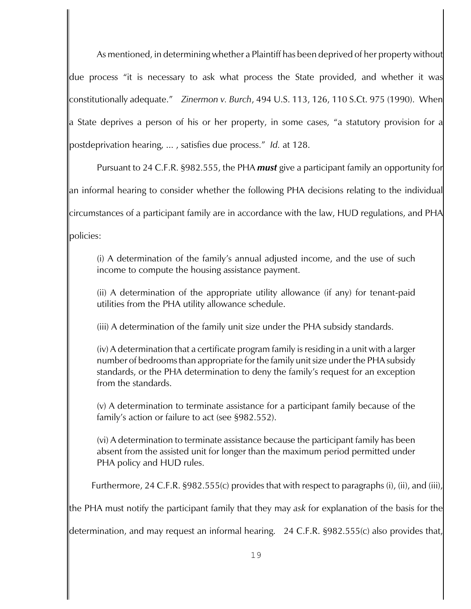As mentioned, in determining whether a Plaintiff has been deprived of her property without due process "it is necessary to ask what process the State provided, and whether it was constitutionally adequate." *Zinermon v. Burch*, 494 U.S. 113, 126, 110 S.Ct. 975 (1990). When a State deprives a person of his or her property, in some cases, "a statutory provision for a postdeprivation hearing, ... , satisfies due process." *Id.* at 128.

Pursuant to 24 C.F.R. §982.555, the PHA *must* give a participant family an opportunity for an informal hearing to consider whether the following PHA decisions relating to the individual circumstances of a participant family are in accordance with the law, HUD regulations, and PHA policies:

(i) A determination of the family's annual adjusted income, and the use of such income to compute the housing assistance payment.

(ii) A determination of the appropriate utility allowance (if any) for tenant-paid utilities from the PHA utility allowance schedule.

(iii) A determination of the family unit size under the PHA subsidy standards.

(iv) A determination that a certificate program family is residing in a unit with a larger number of bedrooms than appropriate for the family unit size under the PHA subsidy standards, or the PHA determination to deny the family's request for an exception from the standards.

(v) A determination to terminate assistance for a participant family because of the family's action or failure to act (see §982.552).

(vi) A determination to terminate assistance because the participant family has been absent from the assisted unit for longer than the maximum period permitted under PHA policy and HUD rules.

Furthermore, 24 C.F.R. §982.555(c) provides that with respect to paragraphs (i), (ii), and (iii),

the PHA must notify the participant family that they may *ask* for explanation of the basis for the

determination, and may request an informal hearing. 24 C.F.R. §982.555(c) also provides that,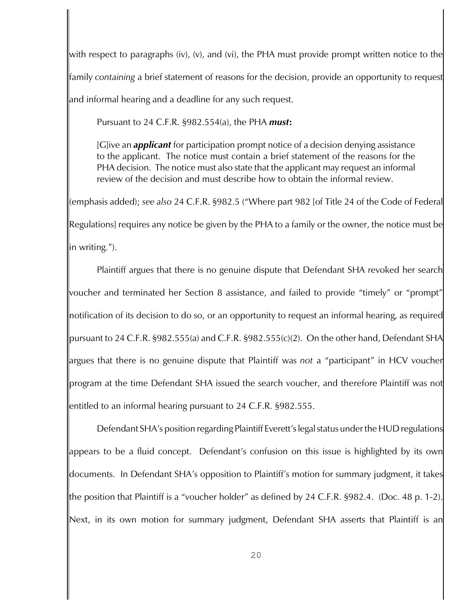with respect to paragraphs (iv), (v), and (vi), the PHA must provide prompt written notice to the family *containing* a brief statement of reasons for the decision, provide an opportunity to request and informal hearing and a deadline for any such request.

Pursuant to 24 C.F.R. §982.554(a), the PHA *must***:**

[G]ive an *applicant* for participation prompt notice of a decision denying assistance to the applicant. The notice must contain a brief statement of the reasons for the PHA decision. The notice must also state that the applicant may request an informal review of the decision and must describe how to obtain the informal review.

(emphasis added); *see also* 24 C.F.R. §982.5 ("Where part 982 [of Title 24 of the Code of Federal Regulations] requires any notice be given by the PHA to a family or the owner, the notice must be in writing.").

Plaintiff argues that there is no genuine dispute that Defendant SHA revoked her search voucher and terminated her Section 8 assistance, and failed to provide "timely" or "prompt" notification of its decision to do so, or an opportunity to request an informal hearing, as required pursuant to 24 C.F.R. §982.555(a) and C.F.R. §982.555(c)(2).On the other hand, Defendant SHA argues that there is no genuine dispute that Plaintiff was *not* a "participant" in HCV voucher program at the time Defendant SHA issued the search voucher, and therefore Plaintiff was not entitled to an informal hearing pursuant to 24 C.F.R. §982.555.

Defendant SHA's position regarding Plaintiff Everett's legal status under the HUD regulations appears to be a fluid concept. Defendant's confusion on this issue is highlighted by its own documents. In Defendant SHA's opposition to Plaintiff's motion for summary judgment, it takes the position that Plaintiff is a "voucher holder" as defined by 24 C.F.R. §982.4. (Doc. 48 p. 1-2). Next, in its own motion for summary judgment, Defendant SHA asserts that Plaintiff is an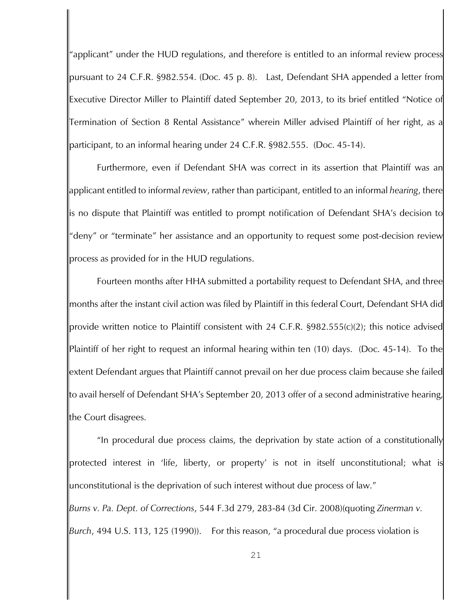"applicant" under the HUD regulations, and therefore is entitled to an informal review process pursuant to 24 C.F.R. §982.554. (Doc. 45 p. 8). Last, Defendant SHA appended a letter from Executive Director Miller to Plaintiff dated September 20, 2013, to its brief entitled "Notice of Termination of Section 8 Rental Assistance" wherein Miller advised Plaintiff of her right, as a participant, to an informal hearing under 24 C.F.R. §982.555. (Doc. 45-14).

Furthermore, even if Defendant SHA was correct in its assertion that Plaintiff was an applicant entitled to informal *review*, rather than participant, entitled to an informal *hearing*, there is no dispute that Plaintiff was entitled to prompt notification of Defendant SHA's decision to "deny" or "terminate" her assistance and an opportunity to request some post-decision review process as provided for in the HUD regulations.

Fourteen months after HHA submitted a portability request to Defendant SHA, and three months after the instant civil action was filed by Plaintiff in this federal Court, Defendant SHA did provide written notice to Plaintiff consistent with 24 C.F.R. §982.555(c)(2); this notice advised Plaintiff of her right to request an informal hearing within ten (10) days. (Doc. 45-14). To the extent Defendant argues that Plaintiff cannot prevail on her due process claim because she failed to avail herself of Defendant SHA's September 20, 2013 offer of a second administrative hearing, the Court disagrees.

"In procedural due process claims, the deprivation by state action of a constitutionally protected interest in 'life, liberty, or property' is not in itself unconstitutional; what is unconstitutional is the deprivation of such interest without due process of law."

*Burns v. Pa. Dept. of Corrections*, 544 F.3d 279, 283-84 (3d Cir. 2008)(quoting *Zinerman v. Burch*, 494 U.S. 113, 125 (1990)). For this reason, "a procedural due process violation is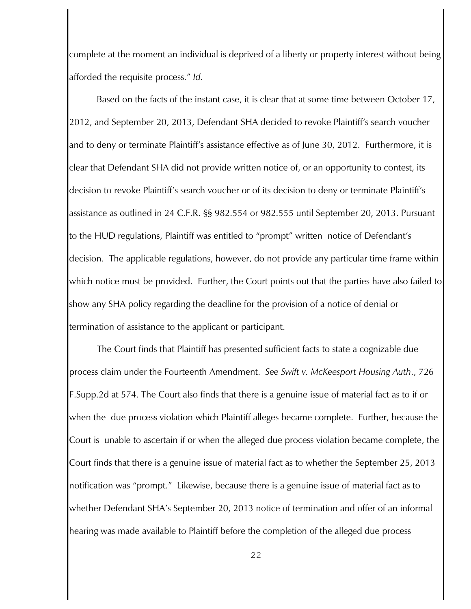complete at the moment an individual is deprived of a liberty or property interest without being afforded the requisite process." *Id.* 

 Based on the facts of the instant case, it is clear that at some time between October 17, 2012, and September 20, 2013, Defendant SHA decided to revoke Plaintiff's search voucher and to deny or terminate Plaintiff's assistance effective as of June 30, 2012. Furthermore, it is clear that Defendant SHA did not provide written notice of, or an opportunity to contest, its decision to revoke Plaintiff's search voucher or of its decision to deny or terminate Plaintiff's assistance as outlined in 24 C.F.R. §§ 982.554 or 982.555 until September 20, 2013. Pursuant to the HUD regulations, Plaintiff was entitled to "prompt" written notice of Defendant's decision. The applicable regulations, however, do not provide any particular time frame within which notice must be provided. Further, the Court points out that the parties have also failed to show any SHA policy regarding the deadline for the provision of a notice of denial or termination of assistance to the applicant or participant.

The Court finds that Plaintiff has presented sufficient facts to state a cognizable due process claim under the Fourteenth Amendment. *See Swift v. McKeesport Housing Auth*., 726 F.Supp.2d at 574. The Court also finds that there is a genuine issue of material fact as to if or when the due process violation which Plaintiff alleges became complete. Further, because the Court is unable to ascertain if or when the alleged due process violation became complete, the Court finds that there is a genuine issue of material fact as to whether the September 25, 2013 notification was "prompt." Likewise, because there is a genuine issue of material fact as to whether Defendant SHA's September 20, 2013 notice of termination and offer of an informal hearing was made available to Plaintiff before the completion of the alleged due process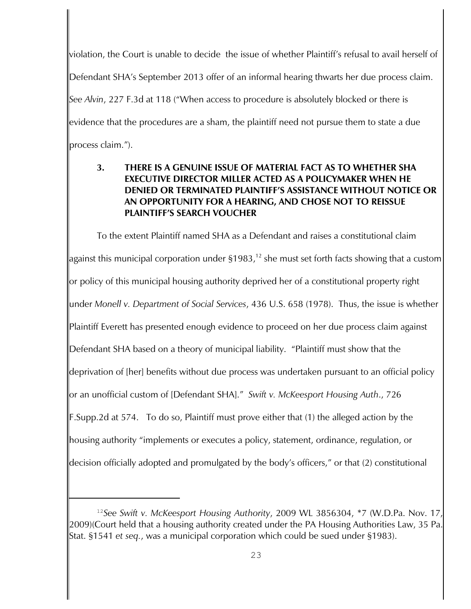violation, the Court is unable to decide the issue of whether Plaintiff's refusal to avail herself of Defendant SHA's September 2013 offer of an informal hearing thwarts her due process claim. *See Alvin*, 227 F.3d at 118 ("When access to procedure is absolutely blocked or there is evidence that the procedures are a sham, the plaintiff need not pursue them to state a due process claim.").

# **3. THERE IS A GENUINE ISSUE OF MATERIAL FACT AS TO WHETHER SHA EXECUTIVE DIRECTOR MILLER ACTED AS A POLICYMAKER WHEN HE DENIED OR TERMINATED PLAINTIFF'S ASSISTANCE WITHOUT NOTICE OR AN OPPORTUNITY FOR A HEARING, AND CHOSE NOT TO REISSUE PLAINTIFF'S SEARCH VOUCHER**

To the extent Plaintiff named SHA as a Defendant and raises a constitutional claim against this municipal corporation under  $\S 1983$ ,<sup>12</sup> she must set forth facts showing that a custom or policy of this municipal housing authority deprived her of a constitutional property right under *Monell v. Department of Social Services*, 436 U.S. 658 (1978). Thus, the issue is whether Plaintiff Everett has presented enough evidence to proceed on her due process claim against Defendant SHA based on a theory of municipal liability. "Plaintiff must show that the deprivation of [her] benefits without due process was undertaken pursuant to an official policy or an unofficial custom of [Defendant SHA]." *Swift v. McKeesport Housing Auth*., 726 F.Supp.2d at 574. To do so, Plaintiff must prove either that (1) the alleged action by the housing authority "implements or executes a policy, statement, ordinance, regulation, or decision officially adopted and promulgated by the body's officers," or that (2) constitutional

<sup>&</sup>lt;sup>12</sup>See Swift v. McKeesport Housing Authority, 2009 WL 3856304, \*7 (W.D.Pa. Nov. 17, 2009)(Court held that a housing authority created under the PA Housing Authorities Law, 35 Pa. Stat. §1541 *et seq.*, was a municipal corporation which could be sued under §1983).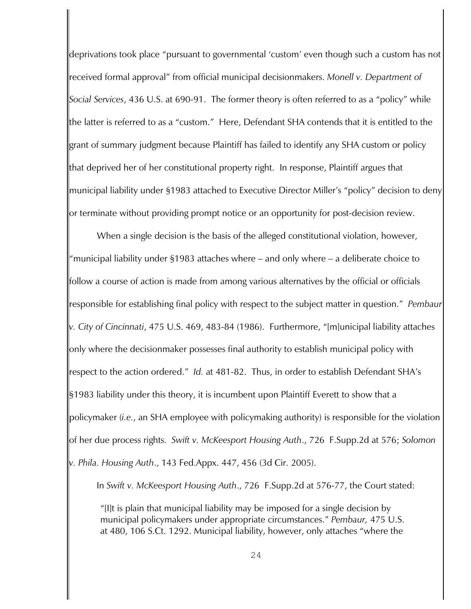deprivations took place "pursuant to governmental 'custom' even though such a custom has not received formal approval" from official municipal decisionmakers. *Monell v. Department of Social Services*, 436 U.S. at 690-91. The former theory is often referred to as a "policy" while the latter is referred to as a "custom." Here, Defendant SHA contends that it is entitled to the grant of summary judgment because Plaintiff has failed to identify any SHA custom or policy that deprived her of her constitutional property right. In response, Plaintiff argues that municipal liability under §1983 attached to Executive Director Miller's "policy" decision to deny or terminate without providing prompt notice or an opportunity for post-decision review.

When a single decision is the basis of the alleged constitutional violation, however, "municipal liability under §1983 attaches where – and only where – a deliberate choice to follow a course of action is made from among various alternatives by the official or officials responsible for establishing final policy with respect to the subject matter in question." *Pembaur v. City of Cincinnati*, 475 U.S. 469, 483-84 (1986). Furthermore, "[m]unicipal liability attaches only where the decisionmaker possesses final authority to establish municipal policy with respect to the action ordered." *Id.* at 481-82. Thus, in order to establish Defendant SHA's §1983 liability under this theory, it is incumbent upon Plaintiff Everett to show that a policymaker (*i.e.*, an SHA employee with policymaking authority) is responsible for the violation of her due process rights. *Swift v. McKeesport Housing Auth*., 726 F.Supp.2d at 576; *Solomon v. Phila. Housing Auth*., 143 Fed.Appx. 447, 456 (3d Cir. 2005).

In *Swift v. McKeesport Housing Auth*., 726 F.Supp.2d at 576-77, the Court stated:

"[I]t is plain that municipal liability may be imposed for a single decision by municipal policymakers under appropriate circumstances." *Pembaur,* 475 U.S. at 480, 106 S.Ct. 1292. Municipal liability, however, only attaches "where the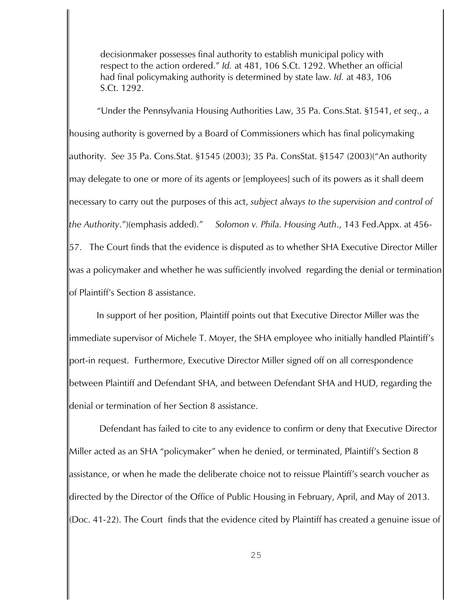decisionmaker possesses final authority to establish municipal policy with respect to the action ordered." *Id.* at 481, 106 S.Ct. 1292. Whether an official had final policymaking authority is determined by state law. *Id.* at 483, 106 S.Ct. 1292.

"Under the Pennsylvania Housing Authorities Law, 35 Pa. Cons.Stat. §1541, *et seq*., a housing authority is governed by a Board of Commissioners which has final policymaking authority. *See* 35 Pa. Cons.Stat. §1545 (2003); 35 Pa. ConsStat. §1547 (2003)("An authority may delegate to one or more of its agents or [employees] such of its powers as it shall deem necessary to carry out the purposes of this act, *subject always to the supervision and control of the Authority*.")(emphasis added)." *Solomon v. Phila. Housing Auth*., 143 Fed.Appx. at 456- 57. The Court finds that the evidence is disputed as to whether SHA Executive Director Miller was a policymaker and whether he was sufficiently involved regarding the denial or termination of Plaintiff's Section 8 assistance.

 In support of her position, Plaintiff points out that Executive Director Miller was the immediate supervisor of Michele T. Moyer, the SHA employee who initially handled Plaintiff's port-in request. Furthermore, Executive Director Miller signed off on all correspondence between Plaintiff and Defendant SHA, and between Defendant SHA and HUD, regarding the denial or termination of her Section 8 assistance.

 Defendant has failed to cite to any evidence to confirm or deny that Executive Director Miller acted as an SHA "policymaker" when he denied, or terminated, Plaintiff's Section 8 assistance, or when he made the deliberate choice not to reissue Plaintiff's search voucher as directed by the Director of the Office of Public Housing in February, April, and May of 2013. (Doc. 41-22). The Court finds that the evidence cited by Plaintiff has created a genuine issue of